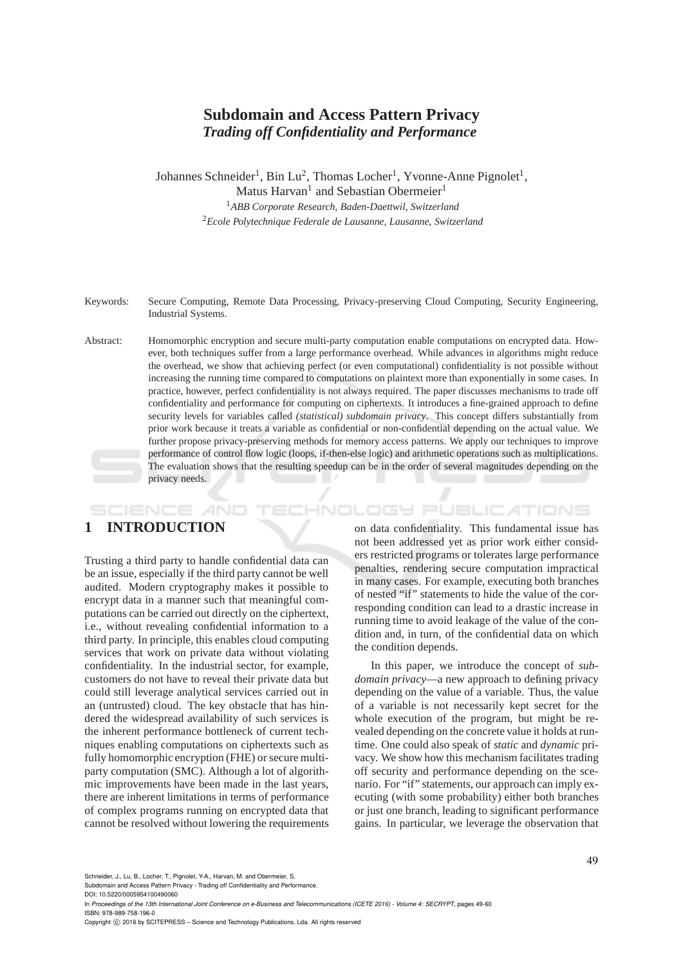# **Subdomain and Access Pattern Privacy** *Trading off Confidentiality and Performance*

Johannes Schneider<sup>1</sup>, Bin Lu<sup>2</sup>, Thomas Locher<sup>1</sup>, Yvonne-Anne Pignolet<sup>1</sup>, Matus Harvan<sup>1</sup> and Sebastian Obermeier<sup>1</sup> <sup>1</sup>*ABB Corporate Research, Baden-Daettwil, Switzerland* <sup>2</sup>*Ecole Polytechnique Federale de Lausanne, Lausanne, Switzerland*

Keywords: Secure Computing, Remote Data Processing, Privacy-preserving Cloud Computing, Security Engineering, Industrial Systems.

Abstract: Homomorphic encryption and secure multi-party computation enable computations on encrypted data. However, both techniques suffer from a large performance overhead. While advances in algorithms might reduce the overhead, we show that achieving perfect (or even computational) confidentiality is not possible without increasing the running time compared to computations on plaintext more than exponentially in some cases. In practice, however, perfect confidentiality is not always required. The paper discusses mechanisms to trade off confidentiality and performance for computing on ciphertexts. It introduces a fine-grained approach to define security levels for variables called *(statistical) subdomain privacy*. This concept differs substantially from prior work because it treats a variable as confidential or non-confidential depending on the actual value. We further propose privacy-preserving methods for memory access patterns. We apply our techniques to improve performance of control flow logic (loops, if-then-else logic) and arithmetic operations such as multiplications. The evaluation shows that the resulting speedup can be in the order of several magnitudes depending on the privacy needs.

# **1 INTRODUCTION**

SCIENCE *A*ND

Trusting a third party to handle confidential data can be an issue, especially if the third party cannot be well audited. Modern cryptography makes it possible to encrypt data in a manner such that meaningful computations can be carried out directly on the ciphertext, i.e., without revealing confidential information to a third party. In principle, this enables cloud computing services that work on private data without violating confidentiality. In the industrial sector, for example, customers do not have to reveal their private data but could still leverage analytical services carried out in an (untrusted) cloud. The key obstacle that has hindered the widespread availability of such services is the inherent performance bottleneck of current techniques enabling computations on ciphertexts such as fully homomorphic encryption (FHE) or secure multiparty computation (SMC). Although a lot of algorithmic improvements have been made in the last years, there are inherent limitations in terms of performance of complex programs running on encrypted data that cannot be resolved without lowering the requirements

on data confidentiality. This fundamental issue has not been addressed yet as prior work either considers restricted programs or tolerates large performance penalties, rendering secure computation impractical in many cases. For example, executing both branches of nested "if" statements to hide the value of the corresponding condition can lead to a drastic increase in running time to avoid leakage of the value of the condition and, in turn, of the confidential data on which the condition depends.

HNOLOGY PUBLICATIONS

In this paper, we introduce the concept of *subdomain privacy*—a new approach to defining privacy depending on the value of a variable. Thus, the value of a variable is not necessarily kept secret for the whole execution of the program, but might be revealed depending on the concrete value it holds at runtime. One could also speak of *static* and *dynamic* privacy. We show how this mechanism facilitates trading off security and performance depending on the scenario. For "if" statements, our approach can imply executing (with some probability) either both branches or just one branch, leading to significant performance gains. In particular, we leverage the observation that

Schneider, J., Lu, B., Locher, T., Pignolet, Y-A., Harvan, M. and Obermeier, S.

Subdomain and Access Pattern Privacy - Trading off Confidentiality and Performance.

DOI: 10.5220/0005954100490060 In *Proceedings of the 13th International Joint Conference on e-Business and Telecommunications (ICETE 2016) - Volume 4: SECRYPT*, pages 49-60 ISBN: 978-989-758-196-0

Copyright © 2016 by SCITEPRESS - Science and Technology Publications, Lda. All rights reserved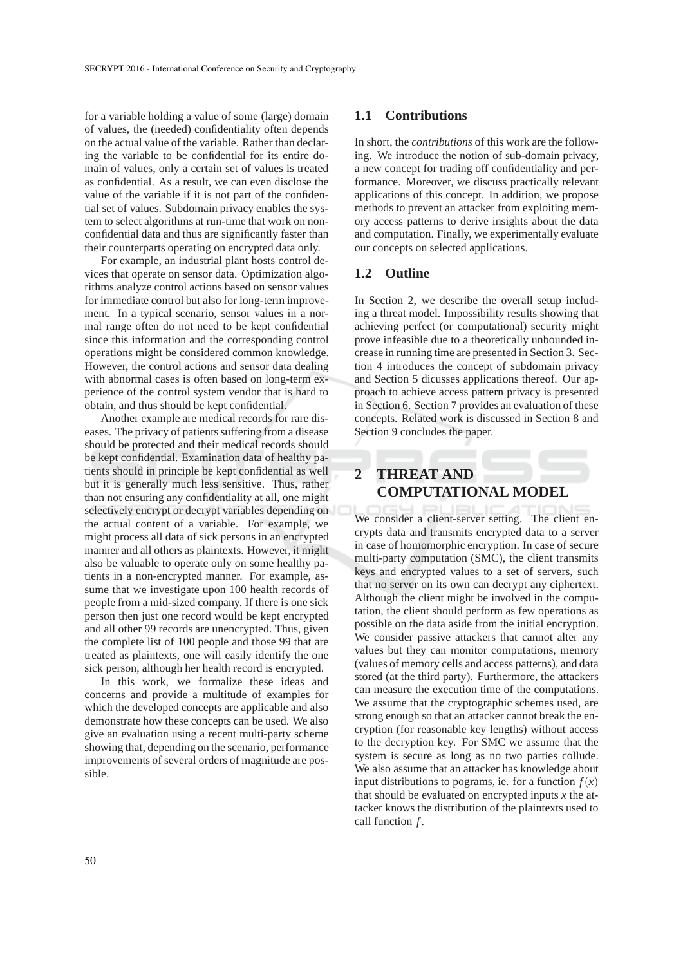for a variable holding a value of some (large) domain of values, the (needed) confidentiality often depends on the actual value of the variable. Rather than declaring the variable to be confidential for its entire domain of values, only a certain set of values is treated as confidential. As a result, we can even disclose the value of the variable if it is not part of the confidential set of values. Subdomain privacy enables the system to select algorithms at run-time that work on nonconfidential data and thus are significantly faster than their counterparts operating on encrypted data only.

For example, an industrial plant hosts control devices that operate on sensor data. Optimization algorithms analyze control actions based on sensor values for immediate control but also for long-term improvement. In a typical scenario, sensor values in a normal range often do not need to be kept confidential since this information and the corresponding control operations might be considered common knowledge. However, the control actions and sensor data dealing with abnormal cases is often based on long-term experience of the control system vendor that is hard to obtain, and thus should be kept confidential.

Another example are medical records for rare diseases. The privacy of patients suffering from a disease should be protected and their medical records should be kept confidential. Examination data of healthy patients should in principle be kept confidential as well but it is generally much less sensitive. Thus, rather than not ensuring any confidentiality at all, one might selectively encrypt or decrypt variables depending on the actual content of a variable. For example, we might process all data of sick persons in an encrypted manner and all others as plaintexts. However, it might also be valuable to operate only on some healthy patients in a non-encrypted manner. For example, assume that we investigate upon 100 health records of people from a mid-sized company. If there is one sick person then just one record would be kept encrypted and all other 99 records are unencrypted. Thus, given the complete list of 100 people and those 99 that are treated as plaintexts, one will easily identify the one sick person, although her health record is encrypted.

In this work, we formalize these ideas and concerns and provide a multitude of examples for which the developed concepts are applicable and also demonstrate how these concepts can be used. We also give an evaluation using a recent multi-party scheme showing that, depending on the scenario, performance improvements of several orders of magnitude are possible.

#### **1.1 Contributions**

In short, the *contributions* of this work are the following. We introduce the notion of sub-domain privacy, a new concept for trading off confidentiality and performance. Moreover, we discuss practically relevant applications of this concept. In addition, we propose methods to prevent an attacker from exploiting memory access patterns to derive insights about the data and computation. Finally, we experimentally evaluate our concepts on selected applications.

#### **1.2 Outline**

In Section 2, we describe the overall setup including a threat model. Impossibility results showing that achieving perfect (or computational) security might prove infeasible due to a theoretically unbounded increase in running time are presented in Section 3. Section 4 introduces the concept of subdomain privacy and Section 5 dicusses applications thereof. Our approach to achieve access pattern privacy is presented in Section 6. Section 7 provides an evaluation of these concepts. Related work is discussed in Section 8 and Section 9 concludes the paper.

# **2 THREAT AND COMPUTATIONAL MODEL**

We consider a client-server setting. The client encrypts data and transmits encrypted data to a server in case of homomorphic encryption. In case of secure multi-party computation (SMC), the client transmits keys and encrypted values to a set of servers, such that no server on its own can decrypt any ciphertext. Although the client might be involved in the computation, the client should perform as few operations as possible on the data aside from the initial encryption. We consider passive attackers that cannot alter any values but they can monitor computations, memory (values of memory cells and access patterns), and data stored (at the third party). Furthermore, the attackers can measure the execution time of the computations. We assume that the cryptographic schemes used, are strong enough so that an attacker cannot break the encryption (for reasonable key lengths) without access to the decryption key. For SMC we assume that the system is secure as long as no two parties collude. We also assume that an attacker has knowledge about input distributions to pograms, ie. for a function  $f(x)$ that should be evaluated on encrypted inputs *x* the attacker knows the distribution of the plaintexts used to call function *f* .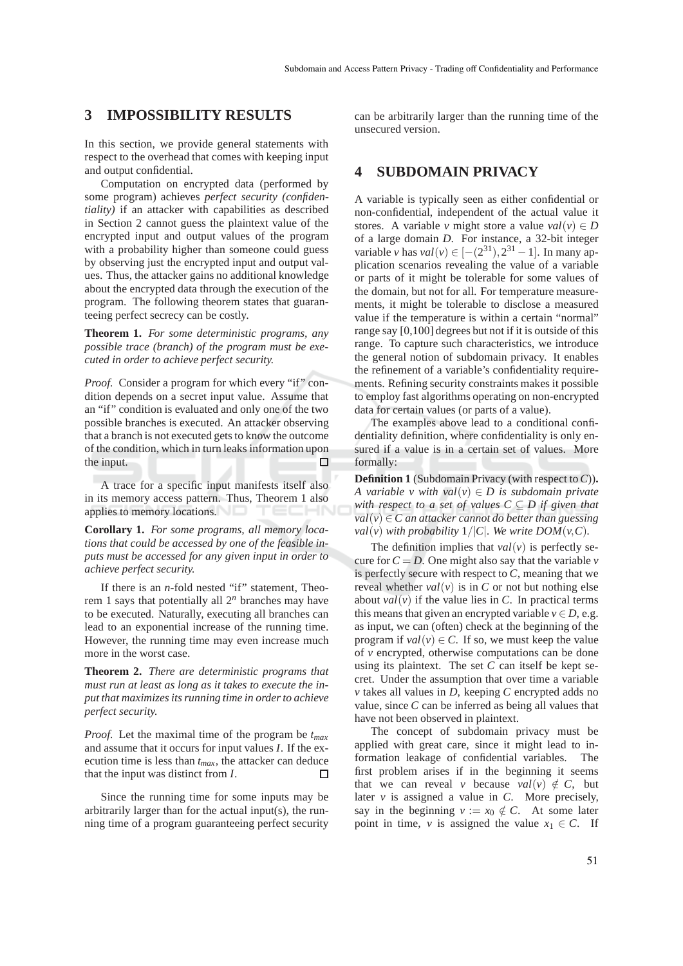## **3 IMPOSSIBILITY RESULTS**

In this section, we provide general statements with respect to the overhead that comes with keeping input and output confidential.

Computation on encrypted data (performed by some program) achieves *perfect security (confidentiality)* if an attacker with capabilities as described in Section 2 cannot guess the plaintext value of the encrypted input and output values of the program with a probability higher than someone could guess by observing just the encrypted input and output values. Thus, the attacker gains no additional knowledge about the encrypted data through the execution of the program. The following theorem states that guaranteeing perfect secrecy can be costly.

**Theorem 1.** *For some deterministic programs, any possible trace (branch) of the program must be executed in order to achieve perfect security.*

*Proof.* Consider a program for which every "if" condition depends on a secret input value. Assume that an "if" condition is evaluated and only one of the two possible branches is executed. An attacker observing that a branch is not executed gets to know the outcome of the condition, which in turn leaks information upon the input.  $\Box$ 

A trace for a specific input manifests itself also in its memory access pattern. Thus, Theorem 1 also applies to memory locations.

**Corollary 1.** *For some programs, all memory locations that could be accessed by one of the feasible inputs must be accessed for any given input in order to achieve perfect security.*

If there is an *n*-fold nested "if" statement, Theorem 1 says that potentially all 2*<sup>n</sup>* branches may have to be executed. Naturally, executing all branches can lead to an exponential increase of the running time. However, the running time may even increase much more in the worst case.

**Theorem 2.** *There are deterministic programs that must run at least as long as it takes to execute the input that maximizes its running time in order to achieve perfect security.*

*Proof.* Let the maximal time of the program be *tmax* and assume that it occurs for input values *I*. If the execution time is less than *tmax*, the attacker can deduce that the input was distinct from *I*. П

Since the running time for some inputs may be arbitrarily larger than for the actual input(s), the running time of a program guaranteeing perfect security can be arbitrarily larger than the running time of the unsecured version.

## **4 SUBDOMAIN PRIVACY**

A variable is typically seen as either confidential or non-confidential, independent of the actual value it stores. A variable *v* might store a value  $val(v) \in D$ of a large domain *D*. For instance, a 32-bit integer *variable <i>v* has *val*(*v*) ∈ [−(2<sup>31</sup>), 2<sup>31</sup> − 1]. In many application scenarios revealing the value of a variable or parts of it might be tolerable for some values of the domain, but not for all. For temperature measurements, it might be tolerable to disclose a measured value if the temperature is within a certain "normal" range say [0,100] degrees but not if it is outside of this range. To capture such characteristics, we introduce the general notion of subdomain privacy. It enables the refinement of a variable's confidentiality requirements. Refining security constraints makes it possible to employ fast algorithms operating on non-encrypted data for certain values (or parts of a value).

The examples above lead to a conditional confidentiality definition, where confidentiality is only ensured if a value is in a certain set of values. More formally:

**Definition 1** (Subdomain Privacy (with respect to*C*))**.** *A variable v with val*( $v$ )  $\in$  *D is subdomain private with respect to a set of values*  $C \subseteq D$  *if given that*  $val(v) \in C$  *an attacker cannot do better than guessing val*(*v*) *with probability*  $1/|C|$ *. We write DOM*(*v*,*C*).

The definition implies that  $val(v)$  is perfectly secure for  $C = D$ . One might also say that the variable *v* is perfectly secure with respect to *C*, meaning that we reveal whether  $val(v)$  is in C or not but nothing else about  $val(v)$  if the value lies in *C*. In practical terms this means that given an encrypted variable  $v \in D$ , e.g. as input, we can (often) check at the beginning of the program if  $val(v) \in C$ . If so, we must keep the value of *v* encrypted, otherwise computations can be done using its plaintext. The set *C* can itself be kept secret. Under the assumption that over time a variable *v* takes all values in *D*, keeping *C* encrypted adds no value, since *C* can be inferred as being all values that have not been observed in plaintext.

The concept of subdomain privacy must be applied with great care, since it might lead to information leakage of confidential variables. The first problem arises if in the beginning it seems that we can reveal *v* because *val*(*v*)  $\notin C$ , but later  $\nu$  is assigned a value in  $C$ . More precisely, say in the beginning  $v := x_0 \notin C$ . At some later point in time, *v* is assigned the value  $x_1 \in C$ . If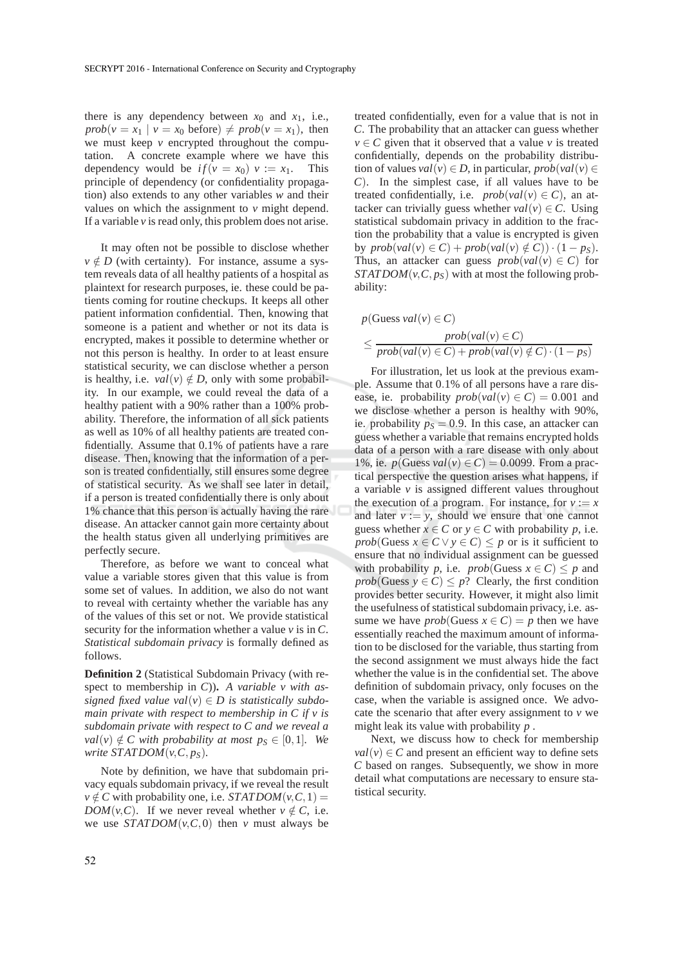there is any dependency between  $x_0$  and  $x_1$ , i.e.,  $prob(v = x_1 | v = x_0 \text{ before}) \neq prob(v = x_1)$ , then we must keep *v* encrypted throughout the computation. A concrete example where we have this dependency would be  $if(v = x_0)$   $v := x_1$ . This principle of dependency (or confidentiality propagation) also extends to any other variables *w* and their values on which the assignment to *v* might depend. If a variable *v* is read only, this problem does not arise.

It may often not be possible to disclose whether  $v \notin D$  (with certainty). For instance, assume a system reveals data of all healthy patients of a hospital as plaintext for research purposes, ie. these could be patients coming for routine checkups. It keeps all other patient information confidential. Then, knowing that someone is a patient and whether or not its data is encrypted, makes it possible to determine whether or not this person is healthy. In order to at least ensure statistical security, we can disclose whether a person is healthy, i.e.  $val(v) \notin D$ , only with some probability. In our example, we could reveal the data of a healthy patient with a 90% rather than a 100% probability. Therefore, the information of all sick patients as well as 10% of all healthy patients are treated confidentially. Assume that 0.1% of patients have a rare disease. Then, knowing that the information of a person is treated confidentially, still ensures some degree of statistical security. As we shall see later in detail, if a person is treated confidentially there is only about 1% chance that this person is actually having the rare disease. An attacker cannot gain more certainty about the health status given all underlying primitives are perfectly secure.

Therefore, as before we want to conceal what value a variable stores given that this value is from some set of values. In addition, we also do not want to reveal with certainty whether the variable has any of the values of this set or not. We provide statistical security for the information whether a value *v* is in *C*. *Statistical subdomain privacy* is formally defined as follows.

**Definition 2** (Statistical Subdomain Privacy (with respect to membership in *C*))**.** *A variable v with assigned fixed value val*( $v$ )  $\in$  *D is statistically subdomain private with respect to membership in C if v is subdomain private with respect to C and we reveal a val*(*v*)  $\notin C$  *with probability at most p<sub>S</sub>*  $\in$  [0,1]*. We write*  $STATDOM(v, C, p_S)$ *.* 

Note by definition, we have that subdomain privacy equals subdomain privacy, if we reveal the result  $v \notin C$  with probability one, i.e. *STATDOM* $(v, C, 1) =$ *DOM*(*v*,*C*). If we never reveal whether  $v \notin C$ , i.e. we use  $STATDOM(v, C, 0)$  then *v* must always be

treated confidentially, even for a value that is not in *C*. The probability that an attacker can guess whether  $v \in C$  given that it observed that a value *v* is treated confidentially, depends on the probability distribution of values  $val(v) \in D$ , in particular,  $prob(val(v) \in D)$ *C*). In the simplest case, if all values have to be treated confidentially, i.e.  $prob(val(v) \in C)$ , an attacker can trivially guess whether  $val(v) \in C$ . Using statistical subdomain privacy in addition to the fraction the probability that a value is encrypted is given  $\forall$  *by prob(val(v)*  $\in C$ ) + *prob(val(v)*  $\notin C$ )) · (1 – *p<sub>s</sub>*). Thus, an attacker can guess  $prob(val(v) \in C)$  for *STATDOM*( $v, C, p_S$ ) with at most the following probability:

$$
p(Guess val(v) \in C)
$$
  
\n
$$
\leq \frac{prob(val(v) \in C)}{prob(val(v) \in C) + prob(val(v) \notin C) \cdot (1 - ps)}
$$

For illustration, let us look at the previous example. Assume that 0.1% of all persons have a rare disease, ie. probability  $prob(val(v) \in C) = 0.001$  and we disclose whether a person is healthy with 90%, ie. probability  $p<sub>S</sub> = 0.9$ . In this case, an attacker can guess whether a variable that remains encrypted holds data of a person with a rare disease with only about 1%, ie. *p*(Guess *val*(*v*)  $\in$  *C*) = 0.0099. From a practical perspective the question arises what happens, if a variable *v* is assigned different values throughout the execution of a program. For instance, for  $v := x$ and later  $v := y$ , should we ensure that one cannot guess whether  $x \in C$  or  $y \in C$  with probability p, i.e. *prob*(Guess  $x \in C \vee y \in C$ )  $\leq p$  or is it sufficient to ensure that no individual assignment can be guessed with probability *p*, i.e.  $prob(G \text{}{\text{cess}} \ x \in C) \leq p$  and *prob*(Guess  $y \in C$ )  $\leq p$ ? Clearly, the first condition provides better security. However, it might also limit the usefulness of statistical subdomain privacy, i.e. assume we have *prob*(Guess  $x \in C$ ) = *p* then we have essentially reached the maximum amount of information to be disclosed for the variable, thus starting from the second assignment we must always hide the fact whether the value is in the confidential set. The above definition of subdomain privacy, only focuses on the case, when the variable is assigned once. We advocate the scenario that after every assignment to  $\nu$  we might leak its value with probability *p* .

Next, we discuss how to check for membership  $val(v) \in C$  and present an efficient way to define sets *C* based on ranges. Subsequently, we show in more detail what computations are necessary to ensure statistical security.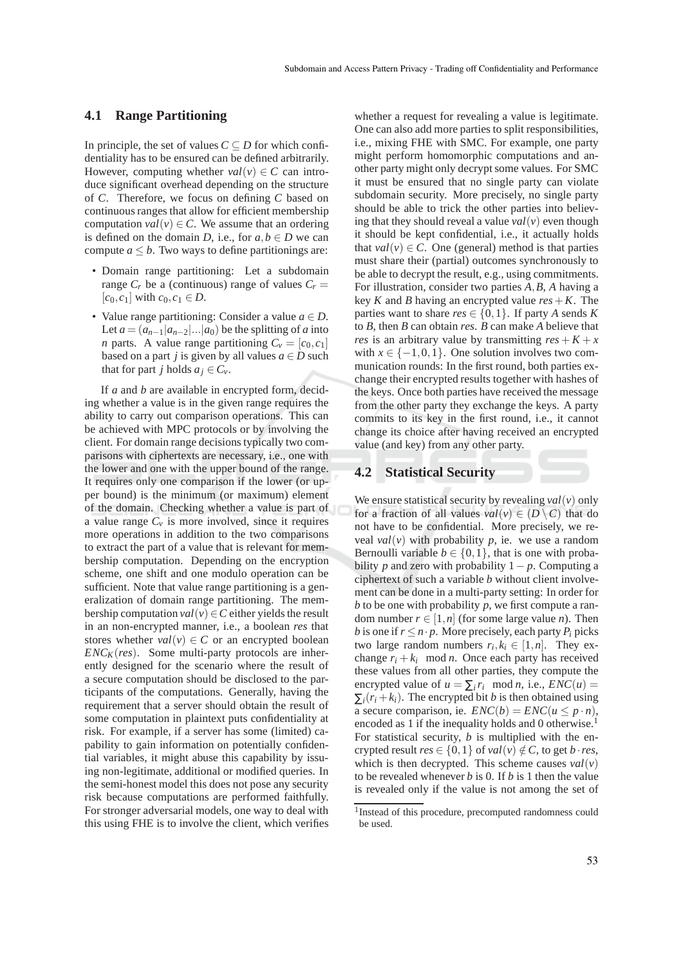#### **4.1 Range Partitioning**

In principle, the set of values  $C \subseteq D$  for which confidentiality has to be ensured can be defined arbitrarily. However, computing whether  $val(v) \in C$  can introduce significant overhead depending on the structure of *C*. Therefore, we focus on defining *C* based on continuous ranges that allow for efficient membership computation  $val(v) \in C$ . We assume that an ordering is defined on the domain *D*, i.e., for  $a, b \in D$  we can compute  $a \leq b$ . Two ways to define partitionings are:

- Domain range partitioning: Let a subdomain range  $C_r$  be a (continuous) range of values  $C_r =$  $[c_0, c_1]$  with  $c_0, c_1 \in D$ .
- Value range partitioning: Consider a value  $a \in D$ . Let  $a = (a_{n-1}|a_{n-2}|...|a_0)$  be the splitting of *a* into *n* parts. A value range partitioning  $C_v = [c_0, c_1]$ based on a part *j* is given by all values  $a \in D$  such that for part *j* holds  $a_j \in C_\nu$ .

If *a* and *b* are available in encrypted form, deciding whether a value is in the given range requires the ability to carry out comparison operations. This can be achieved with MPC protocols or by involving the client. For domain range decisions typically two comparisons with ciphertexts are necessary, i.e., one with the lower and one with the upper bound of the range. It requires only one comparison if the lower (or upper bound) is the minimum (or maximum) element of the domain. Checking whether a value is part of a value range  $C_v$  is more involved, since it requires more operations in addition to the two comparisons to extract the part of a value that is relevant for membership computation. Depending on the encryption scheme, one shift and one modulo operation can be sufficient. Note that value range partitioning is a generalization of domain range partitioning. The membership computation  $val(v) \in C$  either yields the result in an non-encrypted manner, i.e., a boolean *res* that stores whether  $val(v) \in C$  or an encrypted boolean  $ENC<sub>K</sub>(res)$ . Some multi-party protocols are inherently designed for the scenario where the result of a secure computation should be disclosed to the participants of the computations. Generally, having the requirement that a server should obtain the result of some computation in plaintext puts confidentiality at risk. For example, if a server has some (limited) capability to gain information on potentially confidential variables, it might abuse this capability by issuing non-legitimate, additional or modified queries. In the semi-honest model this does not pose any security risk because computations are performed faithfully. For stronger adversarial models, one way to deal with this using FHE is to involve the client, which verifies

whether a request for revealing a value is legitimate. One can also add more parties to split responsibilities, i.e., mixing FHE with SMC. For example, one party might perform homomorphic computations and another party might only decrypt some values. For SMC it must be ensured that no single party can violate subdomain security. More precisely, no single party should be able to trick the other parties into believing that they should reveal a value  $val(v)$  even though it should be kept confidential, i.e., it actually holds that  $val(v) \in C$ . One (general) method is that parties must share their (partial) outcomes synchronously to be able to decrypt the result, e.g., using commitments. For illustration, consider two parties *A*,*B*, *A* having a key *K* and *B* having an encrypted value  $res + K$ . The parties want to share  $res \in \{0,1\}$ . If party *A* sends *K* to *B*, then *B* can obtain *res*. *B* can make *A* believe that *res* is an arbitrary value by transmitting  $res + K + x$ with  $x \in \{-1,0,1\}$ . One solution involves two communication rounds: In the first round, both parties exchange their encrypted results together with hashes of the keys. Once both parties have received the message from the other party they exchange the keys. A party commits to its key in the first round, i.e., it cannot change its choice after having received an encrypted value (and key) from any other party.

### **4.2 Statistical Security**

We ensure statistical security by revealing  $val(v)$  only for a fraction of all values  $val(v) \in (D \setminus C)$  that do not have to be confidential. More precisely, we reveal  $val(v)$  with probability p, ie. we use a random Bernoulli variable  $b \in \{0,1\}$ , that is one with probability *p* and zero with probability  $1 - p$ . Computing a ciphertext of such a variable *b* without client involvement can be done in a multi-party setting: In order for *b* to be one with probability *p*, we first compute a random number  $r \in [1, n]$  (for some large value *n*). Then *b* is one if  $r \leq n \cdot p$ . More precisely, each party  $P_i$  picks two large random numbers  $r_i, k_i \in [1, n]$ . They exchange  $r_i + k_i \mod n$ . Once each party has received these values from all other parties, they compute the encrypted value of  $u = \sum_i r_i \mod n$ , i.e.,  $ENC(u) =$  $\sum_i (r_i + k_i)$ . The encrypted bit *b* is then obtained using a secure comparison, ie.  $ENC(b) = ENC(u \le p \cdot n)$ , encoded as 1 if the inequality holds and 0 otherwise.<sup>1</sup> For statistical security, *b* is multiplied with the encrypted result  $res \in \{0,1\}$  of  $val(v) \notin C$ , to get *b* · *res*, which is then decrypted. This scheme causes  $val(v)$ to be revealed whenever *b* is 0. If *b* is 1 then the value is revealed only if the value is not among the set of

<sup>1</sup> Instead of this procedure, precomputed randomness could be used.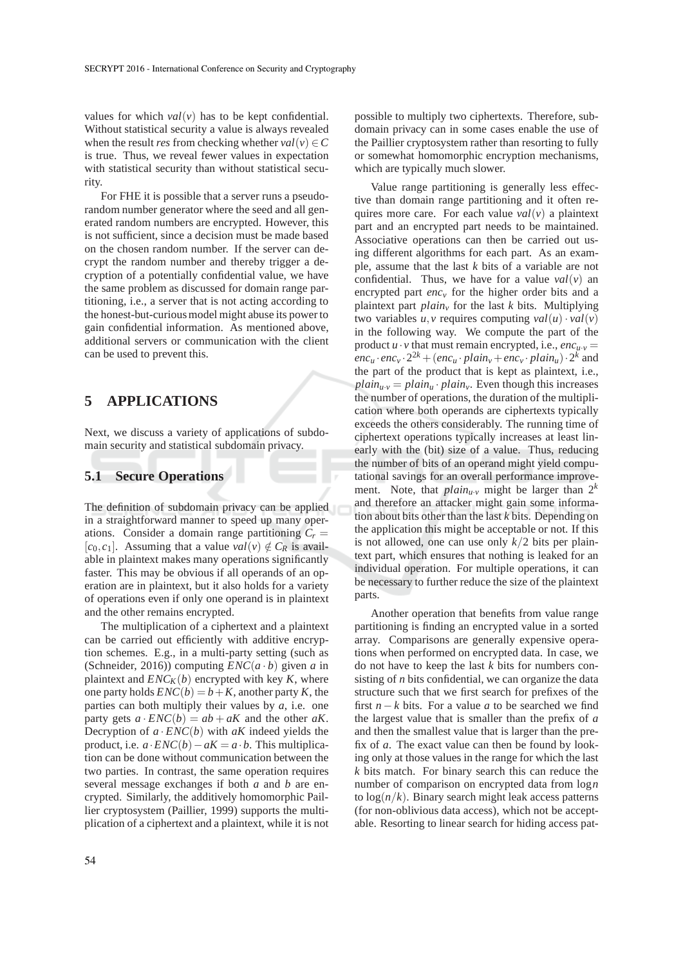values for which  $val(v)$  has to be kept confidential. Without statistical security a value is always revealed when the result *res* from checking whether  $val(v) \in C$ is true. Thus, we reveal fewer values in expectation with statistical security than without statistical security.

For FHE it is possible that a server runs a pseudorandom number generator where the seed and all generated random numbers are encrypted. However, this is not sufficient, since a decision must be made based on the chosen random number. If the server can decrypt the random number and thereby trigger a decryption of a potentially confidential value, we have the same problem as discussed for domain range partitioning, i.e., a server that is not acting according to the honest-but-curious model might abuse its power to gain confidential information. As mentioned above, additional servers or communication with the client can be used to prevent this.

## **5 APPLICATIONS**

Next, we discuss a variety of applications of subdomain security and statistical subdomain privacy.

### **5.1 Secure Operations**

The definition of subdomain privacy can be applied in a straightforward manner to speed up many operations. Consider a domain range partitioning  $C_r =$  $[c_0, c_1]$ . Assuming that a value  $val(v) \notin C_R$  is available in plaintext makes many operations significantly faster. This may be obvious if all operands of an operation are in plaintext, but it also holds for a variety of operations even if only one operand is in plaintext and the other remains encrypted.

The multiplication of a ciphertext and a plaintext can be carried out efficiently with additive encryption schemes. E.g., in a multi-party setting (such as (Schneider, 2016)) computing  $ENC(a \cdot b)$  given *a* in plaintext and  $ENC<sub>K</sub>(b)$  encrypted with key *K*, where one party holds  $ENC(b) = b + K$ , another party *K*, the parties can both multiply their values by *a*, i.e. one party gets  $a \cdot ENC(b) = ab + aK$  and the other  $aK$ . Decryption of  $a \cdot ENC(b)$  with  $aK$  indeed yields the product, i.e.  $a \cdot ENC(b) - aK = a \cdot b$ . This multiplication can be done without communication between the two parties. In contrast, the same operation requires several message exchanges if both *a* and *b* are encrypted. Similarly, the additively homomorphic Paillier cryptosystem (Paillier, 1999) supports the multiplication of a ciphertext and a plaintext, while it is not possible to multiply two ciphertexts. Therefore, subdomain privacy can in some cases enable the use of the Paillier cryptosystem rather than resorting to fully or somewhat homomorphic encryption mechanisms, which are typically much slower.

Value range partitioning is generally less effective than domain range partitioning and it often requires more care. For each value *val*(*v*) a plaintext part and an encrypted part needs to be maintained. Associative operations can then be carried out using different algorithms for each part. As an example, assume that the last *k* bits of a variable are not confidential. Thus, we have for a value  $val(v)$  an encrypted part *enc<sub>v</sub>* for the higher order bits and a plaintext part *plain<sup>v</sup>* for the last *k* bits. Multiplying two variables  $u, v$  requires computing  $val(u) \cdot val(v)$ in the following way. We compute the part of the product  $u \cdot v$  that must remain encrypted, i.e.,  $enc_{u \cdot v}$  =  $enc_u \cdot enc_v \cdot 2^{2k} + (enc_u \cdot plain_v + enc_v \cdot plain_u) \cdot 2^k$  and the part of the product that is kept as plaintext, i.e.,  $plain_{u,v} = plain_{u} \cdot plain_{v}$ . Even though this increases the number of operations, the duration of the multiplication where both operands are ciphertexts typically exceeds the others considerably. The running time of ciphertext operations typically increases at least linearly with the (bit) size of a value. Thus, reducing the number of bits of an operand might yield computational savings for an overall performance improvement. Note, that  $plain_{u\cdot v}$  might be larger than  $2^k$ and therefore an attacker might gain some information about bits other than the last *k* bits. Depending on the application this might be acceptable or not. If this is not allowed, one can use only  $k/2$  bits per plaintext part, which ensures that nothing is leaked for an individual operation. For multiple operations, it can be necessary to further reduce the size of the plaintext parts.

Another operation that benefits from value range partitioning is finding an encrypted value in a sorted array. Comparisons are generally expensive operations when performed on encrypted data. In case, we do not have to keep the last *k* bits for numbers consisting of *n* bits confidential, we can organize the data structure such that we first search for prefixes of the first  $n - k$  bits. For a value *a* to be searched we find the largest value that is smaller than the prefix of *a* and then the smallest value that is larger than the prefix of *a*. The exact value can then be found by looking only at those values in the range for which the last *k* bits match. For binary search this can reduce the number of comparison on encrypted data from log*n* to  $log(n/k)$ . Binary search might leak access patterns (for non-oblivious data access), which not be acceptable. Resorting to linear search for hiding access pat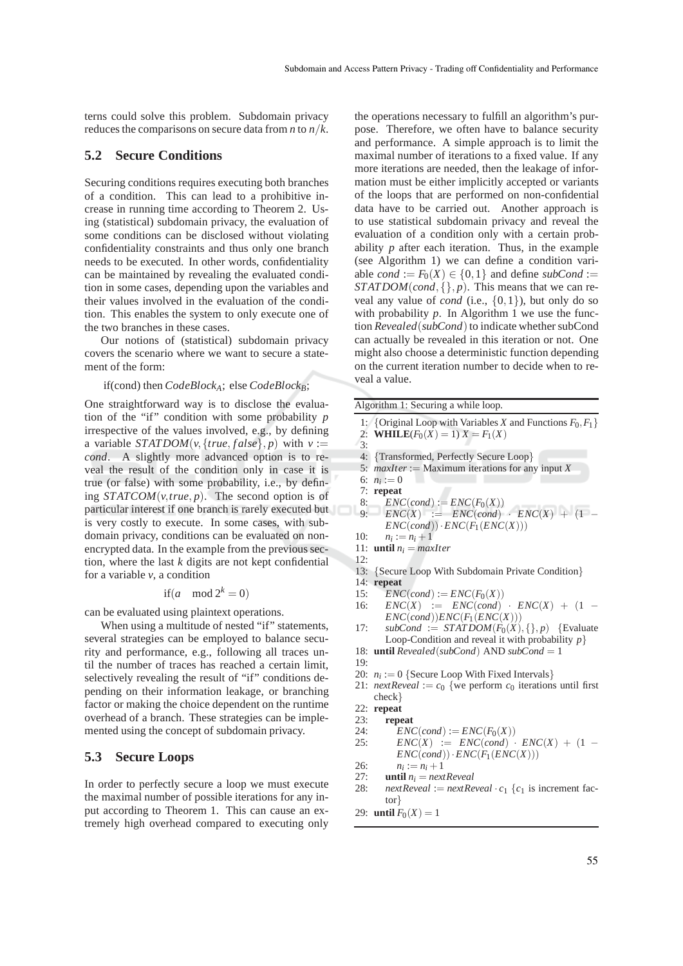terns could solve this problem. Subdomain privacy reduces the comparisons on secure data from *n* to *n*/*k*.

#### **5.2 Secure Conditions**

Securing conditions requires executing both branches of a condition. This can lead to a prohibitive increase in running time according to Theorem 2. Using (statistical) subdomain privacy, the evaluation of some conditions can be disclosed without violating confidentiality constraints and thus only one branch needs to be executed. In other words, confidentiality can be maintained by revealing the evaluated condition in some cases, depending upon the variables and their values involved in the evaluation of the condition. This enables the system to only execute one of the two branches in these cases.

Our notions of (statistical) subdomain privacy covers the scenario where we want to secure a statement of the form:

#### if(cond) then *CodeBlockA*; else *CodeBlockB*;

One straightforward way is to disclose the evaluation of the "if" condition with some probability *p* irrespective of the values involved, e.g., by defining a variable *STATDOM*( $v$ , {*true*, *f* alse},  $p$ ) with  $v :=$ *cond*. A slightly more advanced option is to reveal the result of the condition only in case it is true (or false) with some probability, i.e., by defining  $STATCOM(v, true, p)$ . The second option is of particular interest if one branch is rarely executed but is very costly to execute. In some cases, with subdomain privacy, conditions can be evaluated on nonencrypted data. In the example from the previous section, where the last *k* digits are not kept confidential for a variable  $\nu$ , a condition

$$
if(a \mod 2^k = 0)
$$

can be evaluated using plaintext operations.

When using a multitude of nested "if" statements, several strategies can be employed to balance security and performance, e.g., following all traces until the number of traces has reached a certain limit, selectively revealing the result of "if" conditions depending on their information leakage, or branching factor or making the choice dependent on the runtime overhead of a branch. These strategies can be implemented using the concept of subdomain privacy.

#### **5.3 Secure Loops**

In order to perfectly secure a loop we must execute the maximal number of possible iterations for any input according to Theorem 1. This can cause an extremely high overhead compared to executing only

the operations necessary to fulfill an algorithm's purpose. Therefore, we often have to balance security and performance. A simple approach is to limit the maximal number of iterations to a fixed value. If any more iterations are needed, then the leakage of information must be either implicitly accepted or variants of the loops that are performed on non-confidential data have to be carried out. Another approach is to use statistical subdomain privacy and reveal the evaluation of a condition only with a certain probability *p* after each iteration. Thus, in the example (see Algorithm 1) we can define a condition variable *cond* :=  $F_0(X) \in \{0, 1\}$  and define *subCond* := *STATDOM*(*cond*,{}, *p*). This means that we can reveal any value of *cond* (i.e.,  $\{0,1\}$ ), but only do so with probability  $p$ . In Algorithm 1 we use the function *Revealed*(*subCond*) to indicate whether subCond can actually be revealed in this iteration or not. One might also choose a deterministic function depending on the current iteration number to decide when to reveal a value.

Algorithm 1: Securing a while loop.

- 1: {Original Loop with Variables *X* and Functions  $F_0, F_1$ }
- 2: **WHILE** $(F_0(X) = 1) X = F_1(X)$
- 3:
- 4: {Transformed, Perfectly Secure Loop}
- 5: *maxIter* := Maximum iterations for any input *X*
- 6:  $n_i := 0$ 7: **repeat**
	-
- 8:  $ENC(cond) := ENC(F_0(X))$ <br>9:  $FNC(X) := FNC(cond)$  $ENC(X) := ENC(cond) \cdot ENC(X) + (1 ENC(cond)) \cdot ENC(F_1(ENC(X)))$
- $10<sup>1</sup>$  $n_i := n_i + 1$
- 11: **until**  $n_i = maxIter$
- 12:
- 13: {Secure Loop With Subdomain Private Condition}
- 14: **repeat**
- 15:  $ENC(cond) := ENC(F_0(X))$ <br>16:  $ENC(X) := ENC(cond)$
- $ENC(X) := ENC(cond) \cdot ENC(X) + (1 ENC(cond)$ *ENC* $(F_1(ENC(X)))$
- 17:  $subCond := STATDOM(F_0(X), \{ \}, p)$  {Evaluate} Loop-Condition and reveal it with probability *p*}
- 18: **until** *Revealed*(*subCond*) AND *subCond* = 1
- 19:
- 20:  $n_i := 0$  {Secure Loop With Fixed Intervals}
- 21: *nextReveal* :=  $c_0$  {we perform  $c_0$  iterations until first check}
- 22: **repeat**
- 23: **repeat**
- 
- 24:  $ENC(cond) := ENC(F_0(X))$ <br>25:  $ENC(X) := ENC(cond)$ .  $ENC(X) := ENC(cond) \cdot ENC(X) + (1 ENC(cond)) \cdot ENC(F_1(ENC(X)))$
- 26: *n<sup>i</sup>*  $n_i := n_i + 1$
- 27: **until**  $n_i = nextReveal$ <br>28: *nextReveal* := *nextRe*
- $nextReveal := nextReveal \cdot c_1 \{c_1 \}$  is increment factor}
- 29: **until**  $F_0(X) = 1$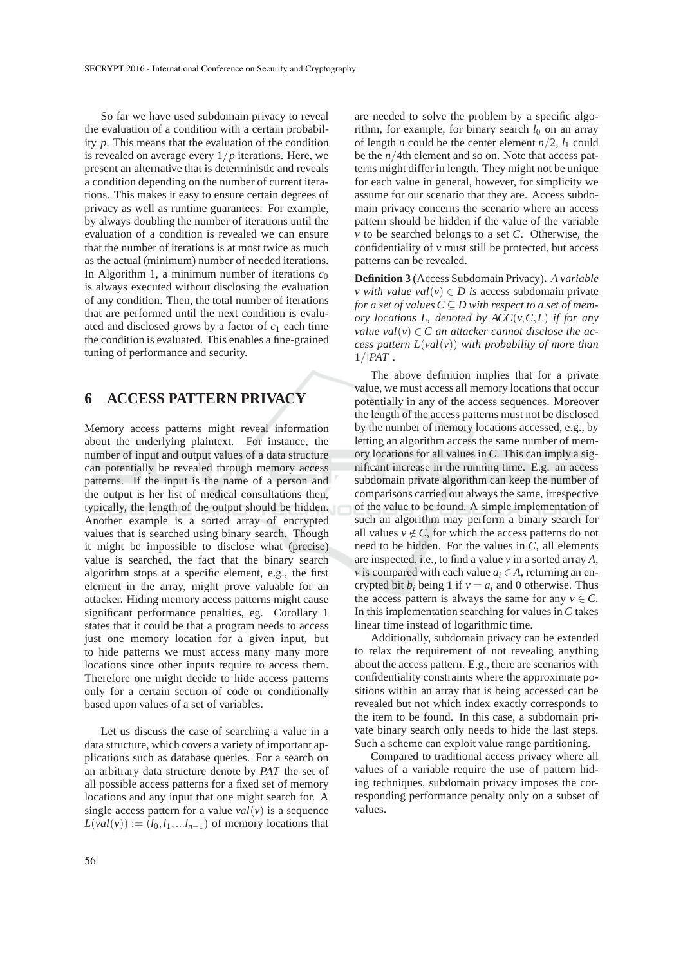So far we have used subdomain privacy to reveal the evaluation of a condition with a certain probability *p*. This means that the evaluation of the condition is revealed on average every  $1/p$  iterations. Here, we present an alternative that is deterministic and reveals a condition depending on the number of current iterations. This makes it easy to ensure certain degrees of privacy as well as runtime guarantees. For example, by always doubling the number of iterations until the evaluation of a condition is revealed we can ensure that the number of iterations is at most twice as much as the actual (minimum) number of needed iterations. In Algorithm 1, a minimum number of iterations  $c_0$ is always executed without disclosing the evaluation of any condition. Then, the total number of iterations that are performed until the next condition is evaluated and disclosed grows by a factor of  $c_1$  each time the condition is evaluated. This enables a fine-grained tuning of performance and security.

## **6 ACCESS PATTERN PRIVACY**

Memory access patterns might reveal information about the underlying plaintext. For instance, the number of input and output values of a data structure can potentially be revealed through memory access patterns. If the input is the name of a person and the output is her list of medical consultations then, typically, the length of the output should be hidden. Another example is a sorted array of encrypted values that is searched using binary search. Though it might be impossible to disclose what (precise) value is searched, the fact that the binary search algorithm stops at a specific element, e.g., the first element in the array, might prove valuable for an attacker. Hiding memory access patterns might cause significant performance penalties, eg. Corollary 1 states that it could be that a program needs to access just one memory location for a given input, but to hide patterns we must access many many more locations since other inputs require to access them. Therefore one might decide to hide access patterns only for a certain section of code or conditionally based upon values of a set of variables.

Let us discuss the case of searching a value in a data structure, which covers a variety of important applications such as database queries. For a search on an arbitrary data structure denote by *PAT* the set of all possible access patterns for a fixed set of memory locations and any input that one might search for. A single access pattern for a value  $val(v)$  is a sequence  $L(val(v)) := (l_0, l_1, \ldots, l_{n-1})$  of memory locations that

are needed to solve the problem by a specific algorithm, for example, for binary search  $l_0$  on an array of length *n* could be the center element  $n/2$ ,  $l_1$  could be the *n*/4th element and so on. Note that access patterns might differ in length. They might not be unique for each value in general, however, for simplicity we assume for our scenario that they are. Access subdomain privacy concerns the scenario where an access pattern should be hidden if the value of the variable *v* to be searched belongs to a set *C*. Otherwise, the confidentiality of *v* must still be protected, but access patterns can be revealed.

**Definition 3** (Access Subdomain Privacy)**.** *A variable v* with value val $(v) \in D$  is access subdomain private *for a set of values*  $C \subseteq D$  *with respect to a set of memory locations L, denoted by ACC*(*v*,*C*,*L*) *if for any value val* $(v) \in C$  *an attacker cannot disclose the access pattern L*(*val*(*v*)) *with probability of more than* 1/|*PAT*|*.*

The above definition implies that for a private value, we must access all memory locations that occur potentially in any of the access sequences. Moreover the length of the access patterns must not be disclosed by the number of memory locations accessed, e.g., by letting an algorithm access the same number of memory locations for all values in *C*. This can imply a significant increase in the running time. E.g. an access subdomain private algorithm can keep the number of comparisons carried out always the same, irrespective of the value to be found. A simple implementation of such an algorithm may perform a binary search for all values  $v \notin C$ , for which the access patterns do not need to be hidden. For the values in *C*, all elements are inspected, i.e., to find a value *v* in a sorted array *A*, *v* is compared with each value  $a_i \in A$ , returning an encrypted bit  $b_i$  being 1 if  $v = a_i$  and 0 otherwise. Thus the access pattern is always the same for any  $v \in C$ . In this implementation searching for values in *C* takes linear time instead of logarithmic time.

Additionally, subdomain privacy can be extended to relax the requirement of not revealing anything about the access pattern. E.g., there are scenarios with confidentiality constraints where the approximate positions within an array that is being accessed can be revealed but not which index exactly corresponds to the item to be found. In this case, a subdomain private binary search only needs to hide the last steps. Such a scheme can exploit value range partitioning.

Compared to traditional access privacy where all values of a variable require the use of pattern hiding techniques, subdomain privacy imposes the corresponding performance penalty only on a subset of values.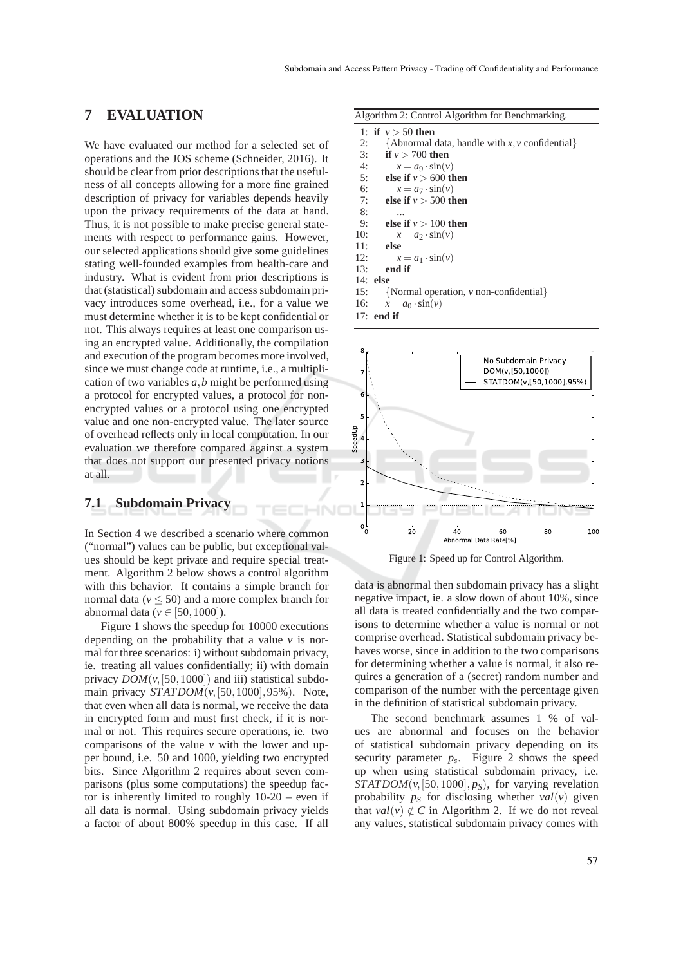## **7 EVALUATION**

We have evaluated our method for a selected set of operations and the JOS scheme (Schneider, 2016). It should be clear from prior descriptions that the usefulness of all concepts allowing for a more fine grained description of privacy for variables depends heavily upon the privacy requirements of the data at hand. Thus, it is not possible to make precise general statements with respect to performance gains. However, our selected applications should give some guidelines stating well-founded examples from health-care and industry. What is evident from prior descriptions is that (statistical) subdomain and access subdomain privacy introduces some overhead, i.e., for a value we must determine whether it is to be kept confidential or not. This always requires at least one comparison using an encrypted value. Additionally, the compilation and execution of the program becomes more involved, since we must change code at runtime, i.e., a multiplication of two variables *a*,*b* might be performed using a protocol for encrypted values, a protocol for nonencrypted values or a protocol using one encrypted value and one non-encrypted value. The later source of overhead reflects only in local computation. In our evaluation we therefore compared against a system that does not support our presented privacy notions at all.

#### **7.1 Subdomain Privacy**

In Section 4 we described a scenario where common ("normal") values can be public, but exceptional values should be kept private and require special treatment. Algorithm 2 below shows a control algorithm with this behavior. It contains a simple branch for normal data  $(v \le 50)$  and a more complex branch for abnormal data ( $v \in [50, 1000]$ ).

НN

Figure 1 shows the speedup for 10000 executions depending on the probability that a value  $\nu$  is normal for three scenarios: i) without subdomain privacy, ie. treating all values confidentially; ii) with domain privacy  $DOM(v, [50, 1000])$  and iii) statistical subdomain privacy *STATDOM*(*v*,[50,1000],95%). Note, that even when all data is normal, we receive the data in encrypted form and must first check, if it is normal or not. This requires secure operations, ie. two comparisons of the value *v* with the lower and upper bound, i.e. 50 and 1000, yielding two encrypted bits. Since Algorithm 2 requires about seven comparisons (plus some computations) the speedup factor is inherently limited to roughly 10-20 – even if all data is normal. Using subdomain privacy yields a factor of about 800% speedup in this case. If all

Algorithm 2: Control Algorithm for Benchmarking.

1: **if**  $v > 50$  **then** 2: {Abnormal data, handle with *x*, *v* confidential}<br>3: **if**  $v > 700$  then if  $v > 700$  then 4:  $x = a_9 \cdot \sin(v)$ <br>5: **else if**  $v > 600$  tl else if  $v > 600$  then 6:  $x = a_7 \cdot \sin(v)$ <br>7: **else if**  $v > 500$  tl else if  $v > 500$  then  $8: 0.8$ else if  $v > 100$  then 10:  $x = a_2 \cdot \sin(v)$ <br>11: **else** 11: **else** 12:  $x = a_1 \cdot \sin(v)$ <br>13: **end if** end if 14: **else** 15: {Normal operation, *v* non-confidential}<br>16:  $x = a_0 \sin(v)$  $x = a_0 \cdot \sin(v)$ 17: **end if**



Figure 1: Speed up for Control Algorithm.

data is abnormal then subdomain privacy has a slight negative impact, ie. a slow down of about 10%, since all data is treated confidentially and the two comparisons to determine whether a value is normal or not comprise overhead. Statistical subdomain privacy behaves worse, since in addition to the two comparisons for determining whether a value is normal, it also requires a generation of a (secret) random number and comparison of the number with the percentage given in the definition of statistical subdomain privacy.

The second benchmark assumes 1 % of values are abnormal and focuses on the behavior of statistical subdomain privacy depending on its security parameter  $p_s$ . Figure 2 shows the speed up when using statistical subdomain privacy, i.e. *STATDOM*( $v$ , [50, 1000],  $p<sub>S</sub>$ ), for varying revelation probability  $p<sub>S</sub>$  for disclosing whether  $val(v)$  given that *val*(*v*)  $\notin C$  in Algorithm 2. If we do not reveal any values, statistical subdomain privacy comes with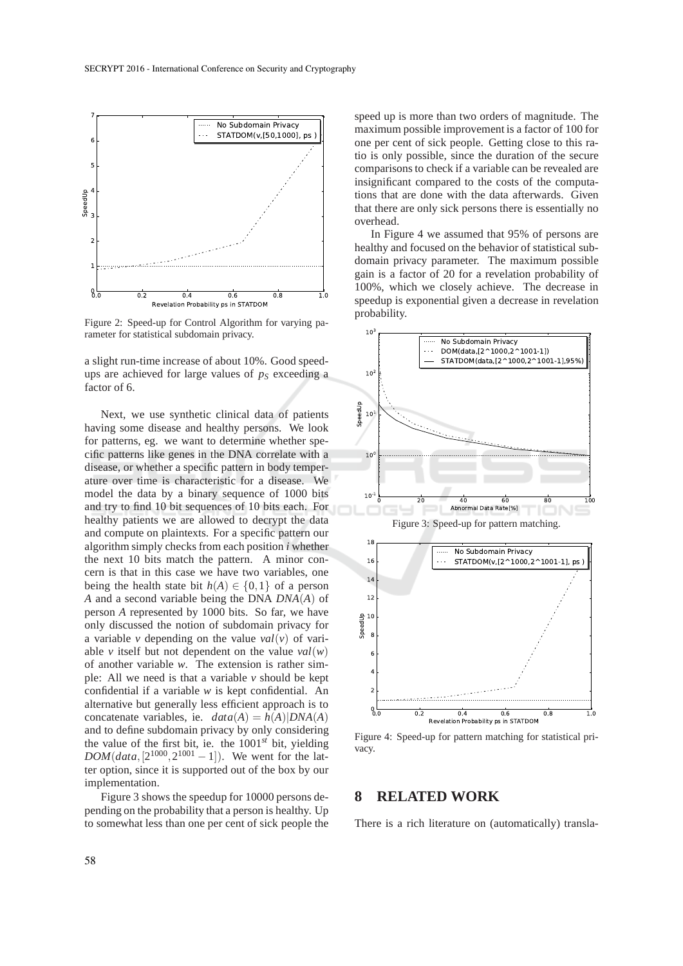

Figure 2: Speed-up for Control Algorithm for varying parameter for statistical subdomain privacy.

a slight run-time increase of about 10%. Good speedups are achieved for large values of *p<sup>S</sup>* exceeding a factor of 6.

Next, we use synthetic clinical data of patients having some disease and healthy persons. We look for patterns, eg. we want to determine whether specific patterns like genes in the DNA correlate with a disease, or whether a specific pattern in body temperature over time is characteristic for a disease. We model the data by a binary sequence of 1000 bits and try to find 10 bit sequences of 10 bits each. For healthy patients we are allowed to decrypt the data and compute on plaintexts. For a specific pattern our algorithm simply checks from each position *i* whether the next 10 bits match the pattern. A minor concern is that in this case we have two variables, one being the health state bit  $h(A) \in \{0, 1\}$  of a person *A* and a second variable being the DNA *DNA*(*A*) of person *A* represented by 1000 bits. So far, we have only discussed the notion of subdomain privacy for a variable *v* depending on the value *val*(*v*) of variable *v* itself but not dependent on the value  $val(w)$ of another variable *w*. The extension is rather simple: All we need is that a variable *v* should be kept confidential if a variable *w* is kept confidential. An alternative but generally less efficient approach is to concatenate variables, ie.  $data(A) = h(A)|DNA(A)$ and to define subdomain privacy by only considering the value of the first bit, ie. the 1001*st* bit, yielding  $DOM(data, [2^{1000}, 2^{1001} - 1])$ . We went for the latter option, since it is supported out of the box by our implementation.

Figure 3 shows the speedup for 10000 persons depending on the probability that a person is healthy. Up to somewhat less than one per cent of sick people the

speed up is more than two orders of magnitude. The maximum possible improvement is a factor of 100 for one per cent of sick people. Getting close to this ratio is only possible, since the duration of the secure comparisons to check if a variable can be revealed are insignificant compared to the costs of the computations that are done with the data afterwards. Given that there are only sick persons there is essentially no overhead.

In Figure 4 we assumed that 95% of persons are healthy and focused on the behavior of statistical subdomain privacy parameter. The maximum possible gain is a factor of 20 for a revelation probability of 100%, which we closely achieve. The decrease in speedup is exponential given a decrease in revelation probability.



Figure 4: Speed-up for pattern matching for statistical privacy.

#### **8 RELATED WORK**

There is a rich literature on (automatically) transla-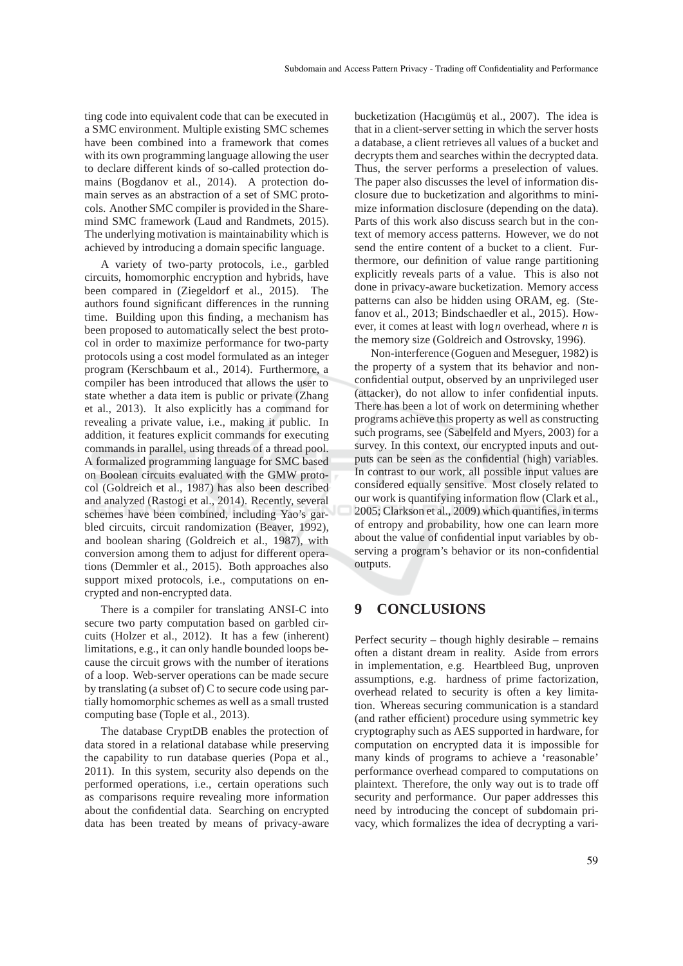ting code into equivalent code that can be executed in a SMC environment. Multiple existing SMC schemes have been combined into a framework that comes with its own programming language allowing the user to declare different kinds of so-called protection domains (Bogdanov et al., 2014). A protection domain serves as an abstraction of a set of SMC protocols. Another SMC compiler is provided in the Sharemind SMC framework (Laud and Randmets, 2015). The underlying motivation is maintainability which is achieved by introducing a domain specific language.

A variety of two-party protocols, i.e., garbled circuits, homomorphic encryption and hybrids, have been compared in (Ziegeldorf et al., 2015). The authors found significant differences in the running time. Building upon this finding, a mechanism has been proposed to automatically select the best protocol in order to maximize performance for two-party protocols using a cost model formulated as an integer program (Kerschbaum et al., 2014). Furthermore, a compiler has been introduced that allows the user to state whether a data item is public or private (Zhang et al., 2013). It also explicitly has a command for revealing a private value, i.e., making it public. In addition, it features explicit commands for executing commands in parallel, using threads of a thread pool. A formalized programming language for SMC based on Boolean circuits evaluated with the GMW protocol (Goldreich et al., 1987) has also been described and analyzed (Rastogi et al., 2014). Recently, several schemes have been combined, including Yao's garbled circuits, circuit randomization (Beaver, 1992), and boolean sharing (Goldreich et al., 1987), with conversion among them to adjust for different operations (Demmler et al., 2015). Both approaches also support mixed protocols, i.e., computations on encrypted and non-encrypted data.

There is a compiler for translating ANSI-C into secure two party computation based on garbled circuits (Holzer et al., 2012). It has a few (inherent) limitations, e.g., it can only handle bounded loops because the circuit grows with the number of iterations of a loop. Web-server operations can be made secure by translating (a subset of) C to secure code using partially homomorphic schemes as well as a small trusted computing base (Tople et al., 2013).

The database CryptDB enables the protection of data stored in a relational database while preserving the capability to run database queries (Popa et al., 2011). In this system, security also depends on the performed operations, i.e., certain operations such as comparisons require revealing more information about the confidential data. Searching on encrypted data has been treated by means of privacy-aware

bucketization (Hacıgümüş et al., 2007). The idea is that in a client-server setting in which the server hosts a database, a client retrieves all values of a bucket and decrypts them and searches within the decrypted data. Thus, the server performs a preselection of values. The paper also discusses the level of information disclosure due to bucketization and algorithms to minimize information disclosure (depending on the data). Parts of this work also discuss search but in the context of memory access patterns. However, we do not send the entire content of a bucket to a client. Furthermore, our definition of value range partitioning explicitly reveals parts of a value. This is also not done in privacy-aware bucketization. Memory access patterns can also be hidden using ORAM, eg. (Stefanov et al., 2013; Bindschaedler et al., 2015). However, it comes at least with log*n* overhead, where *n* is the memory size (Goldreich and Ostrovsky, 1996).

Non-interference (Goguen and Meseguer, 1982) is the property of a system that its behavior and nonconfidential output, observed by an unprivileged user (attacker), do not allow to infer confidential inputs. There has been a lot of work on determining whether programs achieve this property as well as constructing such programs, see (Sabelfeld and Myers, 2003) for a survey. In this context, our encrypted inputs and outputs can be seen as the confidential (high) variables. In contrast to our work, all possible input values are considered equally sensitive. Most closely related to our work is quantifying information flow (Clark et al., 2005; Clarkson et al., 2009) which quantifies, in terms of entropy and probability, how one can learn more about the value of confidential input variables by observing a program's behavior or its non-confidential outputs.

## **9 CONCLUSIONS**

Perfect security – though highly desirable – remains often a distant dream in reality. Aside from errors in implementation, e.g. Heartbleed Bug, unproven assumptions, e.g. hardness of prime factorization, overhead related to security is often a key limitation. Whereas securing communication is a standard (and rather efficient) procedure using symmetric key cryptography such as AES supported in hardware, for computation on encrypted data it is impossible for many kinds of programs to achieve a 'reasonable' performance overhead compared to computations on plaintext. Therefore, the only way out is to trade off security and performance. Our paper addresses this need by introducing the concept of subdomain privacy, which formalizes the idea of decrypting a vari